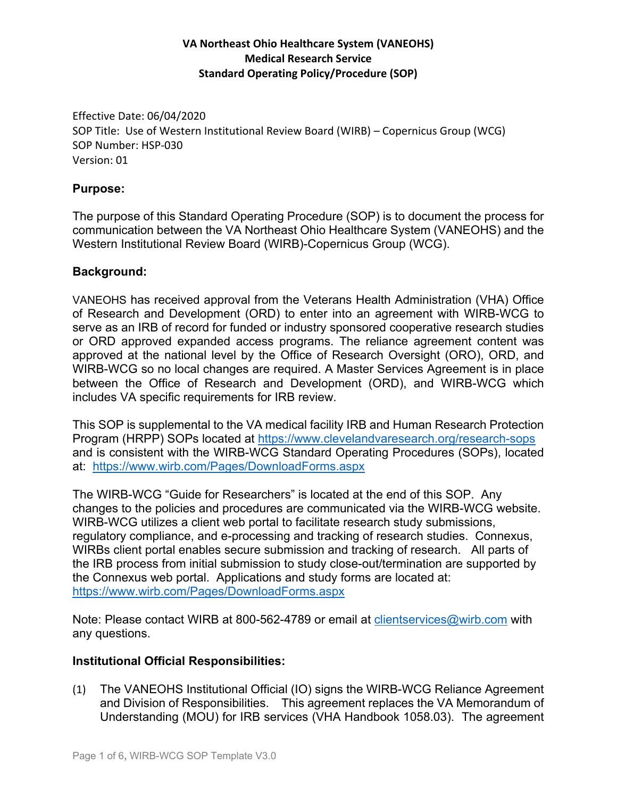## **VA Northeast Ohio Healthcare System (VANEOHS) Medical Research Service Standard Operating Policy/Procedure (SOP)**

 Effective Date: 06/04/2020 SOP Title: Use of Western Institutional Review Board (WIRB) – Copernicus Group (WCG) SOP Number: HSP‐030 Version: 01

#### **Purpose:**

The purpose of this Standard Operating Procedure (SOP) is to document the process for communication between the VA Northeast Ohio Healthcare System (VANEOHS) and the Western Institutional Review Board (WIRB)-Copernicus Group (WCG).

#### **Background:**

VANEOHS has received approval from the Veterans Health Administration (VHA) Office of Research and Development (ORD) to enter into an agreement with WIRB-WCG to serve as an IRB of record for funded or industry sponsored cooperative research studies or ORD approved expanded access programs. The reliance agreement content was approved at the national level by the Office of Research Oversight (ORO), ORD, and WIRB-WCG so no local changes are required. A Master Services Agreement is in place between the Office of Research and Development (ORD), and WIRB-WCG which includes VA specific requirements for IRB review.

This SOP is supplemental to the VA medical facility IRB and Human Research Protection Program (HRPP) SOPs located at https://www.clevelandvaresearch.org/research-sops and is consistent with the WIRB-WCG Standard Operating Procedures (SOPs), located at: https://www.wirb.com/Pages/DownloadForms.aspx

https://www.wirb.com/Pages/DownloadForms.aspx The WIRB-WCG "Guide for Researchers" is located at the end of this SOP. Any changes to the policies and procedures are communicated via the WIRB-WCG website. WIRB-WCG utilizes a client web portal to facilitate research study submissions, regulatory compliance, and e-processing and tracking of research studies. Connexus, WIRBs client portal enables secure submission and tracking of research. All parts of the IRB process from initial submission to study close-out/termination are supported by the Connexus web portal. Applications and study forms are located at:

hote: Please contact WIRB at 800-562-4789 or email at clientservices@wirb.com with any questions.

#### **Institutional Official Responsibilities:**

 and Division of Responsibilities. This agreement replaces the VA Memorandum of (1) The VANEOHS Institutional Official (IO) signs the WIRB-WCG Reliance Agreement Understanding (MOU) for IRB services (VHA Handbook 1058.03). The agreement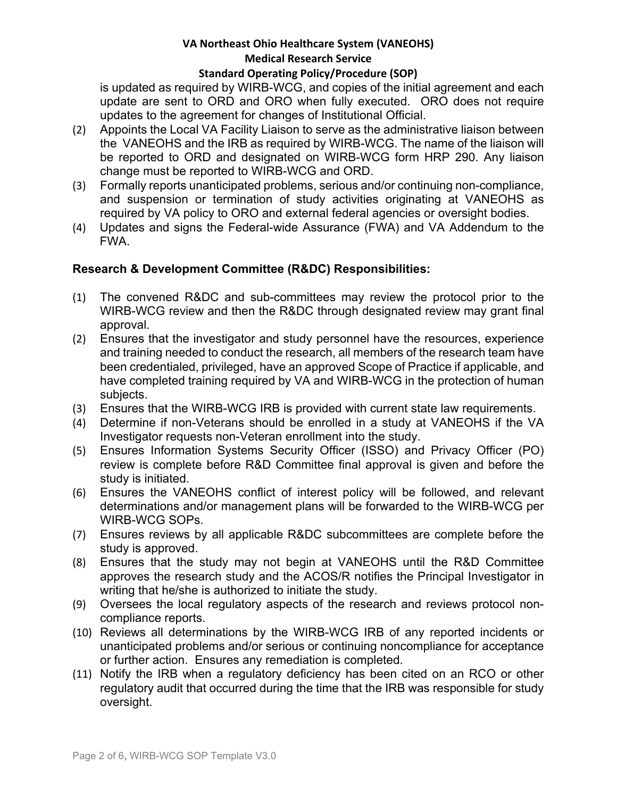## **VA Northeast Ohio Healthcare System (VANEOHS) Medical Research Service**

#### **Standard Operating Policy/Procedure (SOP)**

is updated as required by WIRB-WCG, and copies of the initial agreement and each update are sent to ORD and ORO when fully executed. ORO does not require updates to the agreement for changes of Institutional Official.

- (2) Appoints the Local VA Facility Liaison to serve as the administrative liaison between the VANEOHS and the IRB as required by WIRB-WCG. The name of the liaison will be reported to ORD and designated on WIRB-WCG form HRP 290. Any liaison change must be reported to WIRB-WCG and ORD.
- (3) Formally reports unanticipated problems, serious and/or continuing non-compliance, and suspension or termination of study activities originating at VANEOHS as required by VA policy to ORO and external federal agencies or oversight bodies.
- (4) Updates and signs the Federal-wide Assurance (FWA) and VA Addendum to the FWA.

## **Research & Development Committee (R&DC) Responsibilities:**

- (1) The convened R&DC and sub-committees may review the protocol prior to the WIRB-WCG review and then the R&DC through designated review may grant final approval.
- (2) Ensures that the investigator and study personnel have the resources, experience and training needed to conduct the research, all members of the research team have been credentialed, privileged, have an approved Scope of Practice if applicable, and have completed training required by VA and WIRB-WCG in the protection of human subjects.
- (3) Ensures that the WIRB-WCG IRB is provided with current state law requirements.
- (4) Determine if non-Veterans should be enrolled in a study at VANEOHS if the VA Investigator requests non-Veteran enrollment into the study.
- (5) Ensures Information Systems Security Officer (ISSO) and Privacy Officer (PO) review is complete before R&D Committee final approval is given and before the study is initiated.
- (6) Ensures the VANEOHS conflict of interest policy will be followed, and relevant determinations and/or management plans will be forwarded to the WIRB-WCG per WIRB-WCG SOPs.
- (7) Ensures reviews by all applicable R&DC subcommittees are complete before the study is approved.
- (8) Ensures that the study may not begin at VANEOHS until the R&D Committee approves the research study and the ACOS/R notifies the Principal Investigator in writing that he/she is authorized to initiate the study.
- (9) Oversees the local regulatory aspects of the research and reviews protocol noncompliance reports.
- (10) Reviews all determinations by the WIRB-WCG IRB of any reported incidents or unanticipated problems and/or serious or continuing noncompliance for acceptance or further action. Ensures any remediation is completed.
- (11) Notify the IRB when a regulatory deficiency has been cited on an RCO or other regulatory audit that occurred during the time that the IRB was responsible for study oversight.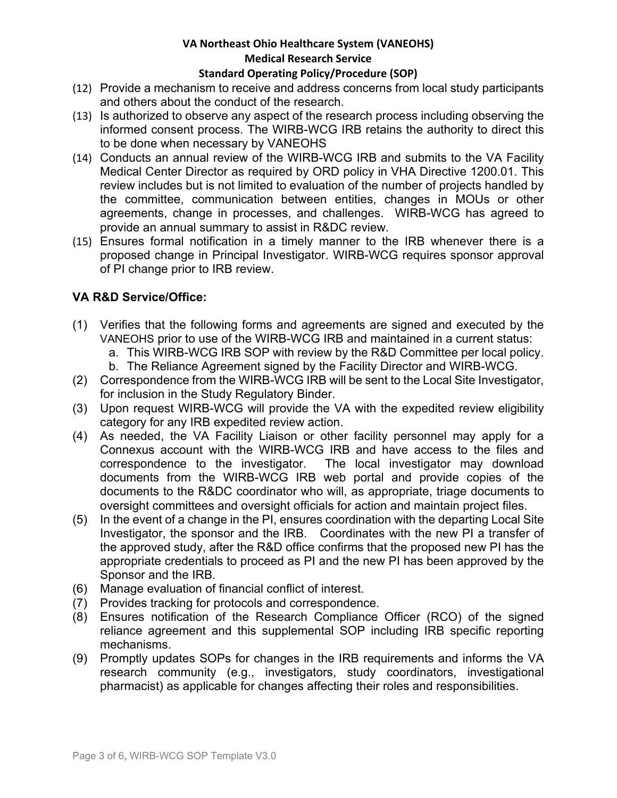## **VA Northeast Ohio Healthcare System (VANEOHS) Medical Research Service**

#### **Standard Operating Policy/Procedure (SOP)**

- (12) Provide a mechanism to receive and address concerns from local study participants and others about the conduct of the research.
- (13) Is authorized to observe any aspect of the research process including observing the informed consent process. The WIRB-WCG IRB retains the authority to direct this to be done when necessary by VANEOHS
- (14) Conducts an annual review of the WIRB-WCG IRB and submits to the VA Facility Medical Center Director as required by ORD policy in VHA Directive 1200.01. This review includes but is not limited to evaluation of the number of projects handled by the committee, communication between entities, changes in MOUs or other agreements, change in processes, and challenges. WIRB-WCG has agreed to provide an annual summary to assist in R&DC review.
- (15) Ensures formal notification in a timely manner to the IRB whenever there is a proposed change in Principal Investigator. WIRB-WCG requires sponsor approval of PI change prior to IRB review.

## **VA R&D Service/Office:**

- (1) Verifies that the following forms and agreements are signed and executed by the VANEOHS prior to use of the WIRB-WCG IRB and maintained in a current status:
	- a. This WIRB-WCG IRB SOP with review by the R&D Committee per local policy.
	- b. The Reliance Agreement signed by the Facility Director and WIRB-WCG.
- (2) Correspondence from the WIRB-WCG IRB will be sent to the Local Site Investigator, for inclusion in the Study Regulatory Binder.
- (3) Upon request WIRB-WCG will provide the VA with the expedited review eligibility category for any IRB expedited review action.
- (4) As needed, the VA Facility Liaison or other facility personnel may apply for a Connexus account with the WIRB-WCG IRB and have access to the files and correspondence to the investigator. The local investigator may download documents from the WIRB-WCG IRB web portal and provide copies of the documents to the R&DC coordinator who will, as appropriate, triage documents to oversight committees and oversight officials for action and maintain project files.
- (5) In the event of a change in the PI, ensures coordination with the departing Local Site Investigator, the sponsor and the IRB. Coordinates with the new PI a transfer of the approved study, after the R&D office confirms that the proposed new PI has the appropriate credentials to proceed as PI and the new PI has been approved by the Sponsor and the IRB.
- (6) Manage evaluation of financial conflict of interest.
- (7) Provides tracking for protocols and correspondence.
- (8) Ensures notification of the Research Compliance Officer (RCO) of the signed reliance agreement and this supplemental SOP including IRB specific reporting mechanisms.
- (9) Promptly updates SOPs for changes in the IRB requirements and informs the VA research community (e.g., investigators, study coordinators, investigational pharmacist) as applicable for changes affecting their roles and responsibilities.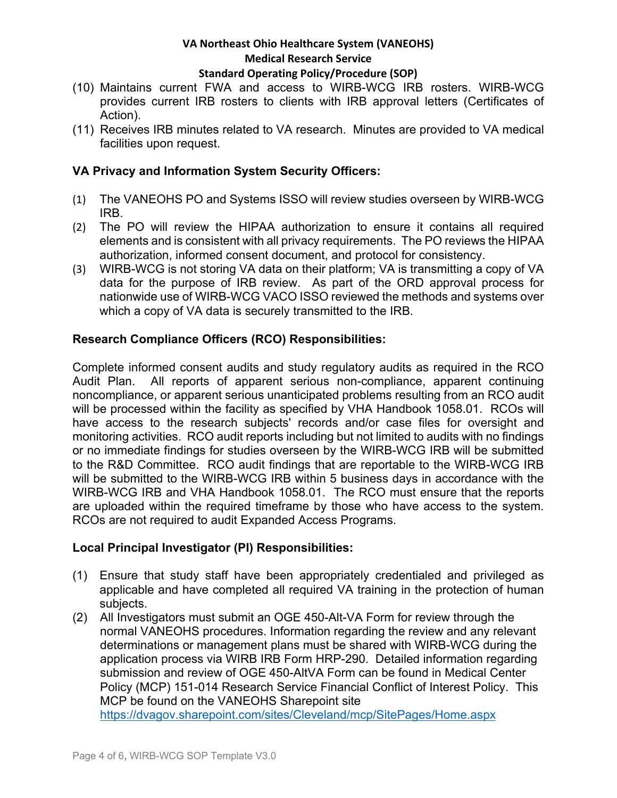## **VA Northeast Ohio Healthcare System (VANEOHS) Medical Research Service Standard Operating Policy/Procedure (SOP)**

- (10) Maintains current FWA and access to WIRB-WCG IRB rosters. WIRB-WCG provides current IRB rosters to clients with IRB approval letters (Certificates of Action).
- (11) Receives IRB minutes related to VA research. Minutes are provided to VA medical facilities upon request.

## **VA Privacy and Information System Security Officers:**

- (1) The VANEOHS PO and Systems ISSO will review studies overseen by WIRB-WCG IRB.
- (2) The PO will review the HIPAA authorization to ensure it contains all required elements and is consistent with all privacy requirements. The PO reviews the HIPAA authorization, informed consent document, and protocol for consistency.
- (3) WIRB-WCG is not storing VA data on their platform; VA is transmitting a copy of VA data for the purpose of IRB review. As part of the ORD approval process for nationwide use of WIRB-WCG VACO ISSO reviewed the methods and systems over which a copy of VA data is securely transmitted to the IRB.

## **Research Compliance Officers (RCO) Responsibilities:**

Complete informed consent audits and study regulatory audits as required in the RCO Audit Plan. All reports of apparent serious non-compliance, apparent continuing noncompliance, or apparent serious unanticipated problems resulting from an RCO audit will be processed within the facility as specified by VHA Handbook 1058.01. RCOs will have access to the research subjects' records and/or case files for oversight and monitoring activities. RCO audit reports including but not limited to audits with no findings or no immediate findings for studies overseen by the WIRB-WCG IRB will be submitted to the R&D Committee. RCO audit findings that are reportable to the WIRB-WCG IRB will be submitted to the WIRB-WCG IRB within 5 business days in accordance with the WIRB-WCG IRB and VHA Handbook 1058.01. The RCO must ensure that the reports are uploaded within the required timeframe by those who have access to the system. RCOs are not required to audit Expanded Access Programs.

#### **Local Principal Investigator (PI) Responsibilities:**

- (1) Ensure that study staff have been appropriately credentialed and privileged as applicable and have completed all required VA training in the protection of human subjects.
- https://dvagov.sharepoint.com/sites/Cleveland/mcp/SitePages/Home.aspx Page 4 of 6**,** WIRB-WCG SOP Template V3.0 (2) All Investigators must submit an OGE 450-Alt-VA Form for review through the normal VANEOHS procedures. Information regarding the review and any relevant determinations or management plans must be shared with WIRB-WCG during the application process via WIRB IRB Form HRP-290. Detailed information regarding submission and review of OGE 450-AltVA Form can be found in Medical Center Policy (MCP) 151-014 Research Service Financial Conflict of Interest Policy. This MCP be found on the VANEOHS Sharepoint site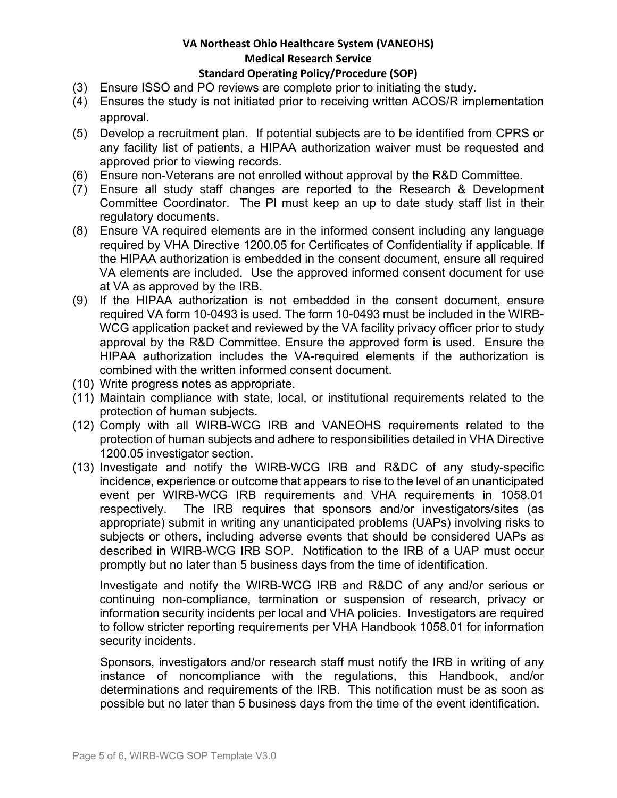# **VA Northeast Ohio Healthcare System (VANEOHS) Medical Research Service**

#### **Standard Operating Policy/Procedure (SOP)**

- (3) Ensure ISSO and PO reviews are complete prior to initiating the study.
- (4) Ensures the study is not initiated prior to receiving written ACOS/R implementation approval.
- (5) Develop a recruitment plan. If potential subjects are to be identified from CPRS or any facility list of patients, a HIPAA authorization waiver must be requested and approved prior to viewing records.
- (6) Ensure non-Veterans are not enrolled without approval by the R&D Committee.
- (7) Ensure all study staff changes are reported to the Research & Development Committee Coordinator. The PI must keep an up to date study staff list in their regulatory documents.
- (8) Ensure VA required elements are in the informed consent including any language required by VHA Directive 1200.05 for Certificates of Confidentiality if applicable. If the HIPAA authorization is embedded in the consent document, ensure all required VA elements are included. Use the approved informed consent document for use at VA as approved by the IRB.
- (9) If the HIPAA authorization is not embedded in the consent document, ensure required VA form 10-0493 is used. The form 10-0493 must be included in the WIRB-WCG application packet and reviewed by the VA facility privacy officer prior to study approval by the R&D Committee. Ensure the approved form is used. Ensure the HIPAA authorization includes the VA-required elements if the authorization is combined with the written informed consent document.
- (10) Write progress notes as appropriate.
- (11) Maintain compliance with state, local, or institutional requirements related to the protection of human subjects.
- (12) Comply with all WIRB-WCG IRB and VANEOHS requirements related to the protection of human subjects and adhere to responsibilities detailed in VHA Directive 1200.05 investigator section.
- (13) Investigate and notify the WIRB-WCG IRB and R&DC of any study-specific incidence, experience or outcome that appears to rise to the level of an unanticipated event per WIRB-WCG IRB requirements and VHA requirements in 1058.01 respectively. The IRB requires that sponsors and/or investigators/sites (as appropriate) submit in writing any unanticipated problems (UAPs) involving risks to subjects or others, including adverse events that should be considered UAPs as described in WIRB-WCG IRB SOP. Notification to the IRB of a UAP must occur promptly but no later than 5 business days from the time of identification.

Investigate and notify the WIRB-WCG IRB and R&DC of any and/or serious or continuing non-compliance, termination or suspension of research, privacy or information security incidents per local and VHA policies. Investigators are required to follow stricter reporting requirements per VHA Handbook 1058.01 for information security incidents.

Sponsors, investigators and/or research staff must notify the IRB in writing of any instance of noncompliance with the regulations, this Handbook, and/or determinations and requirements of the IRB. This notification must be as soon as possible but no later than 5 business days from the time of the event identification.